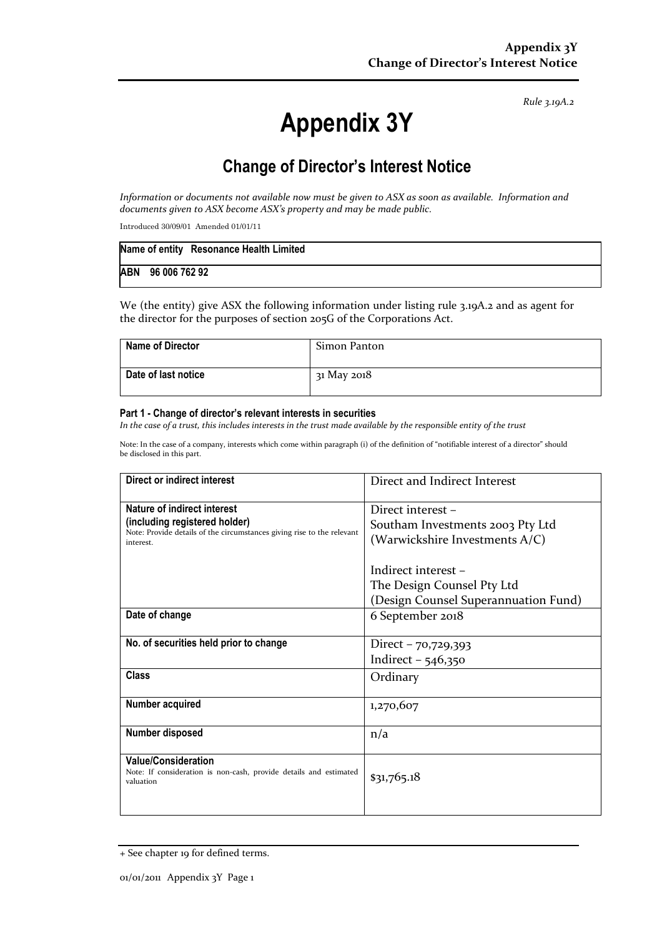Rule 3.19A.2

# Appendix 3Y

# Change of Director's Interest Notice

Information or documents not available now must be given to ASX as soon as available. Information and documents given to ASX become ASX's property and may be made public.

Introduced 30/09/01 Amended 01/01/11

|                   | Name of entity Resonance Health Limited |
|-------------------|-----------------------------------------|
| ABN 96 006 762 92 |                                         |

We (the entity) give ASX the following information under listing rule 3.19A.2 and as agent for the director for the purposes of section 205G of the Corporations Act.

| <b>Name of Director</b> | Simon Panton |
|-------------------------|--------------|
| Date of last notice     | 31 May 2018  |

#### Part 1 - Change of director's relevant interests in securities

In the case of a trust, this includes interests in the trust made available by the responsible entity of the trust

Note: In the case of a company, interests which come within paragraph (i) of the definition of "notifiable interest of a director" should be disclosed in this part.

| Direct or indirect interest                                                         | Direct and Indirect Interest         |  |
|-------------------------------------------------------------------------------------|--------------------------------------|--|
| Nature of indirect interest                                                         | Direct interest -                    |  |
| (including registered holder)                                                       | Southam Investments 2003 Pty Ltd     |  |
| Note: Provide details of the circumstances giving rise to the relevant<br>interest. | (Warwickshire Investments A/C)       |  |
|                                                                                     |                                      |  |
|                                                                                     | Indirect interest -                  |  |
|                                                                                     | The Design Counsel Pty Ltd           |  |
|                                                                                     | (Design Counsel Superannuation Fund) |  |
| Date of change                                                                      | 6 September 2018                     |  |
|                                                                                     |                                      |  |
| No. of securities held prior to change                                              | Direct - 70,729,393                  |  |
|                                                                                     | Indirect $-546,350$                  |  |
| Class                                                                               | Ordinary                             |  |
|                                                                                     |                                      |  |
| Number acquired                                                                     | 1,270,607                            |  |
|                                                                                     |                                      |  |
| Number disposed                                                                     | n/a                                  |  |
| <b>Value/Consideration</b>                                                          |                                      |  |
| Note: If consideration is non-cash, provide details and estimated                   | \$31,765.18                          |  |
| valuation                                                                           |                                      |  |
|                                                                                     |                                      |  |

<sup>+</sup> See chapter 19 for defined terms.